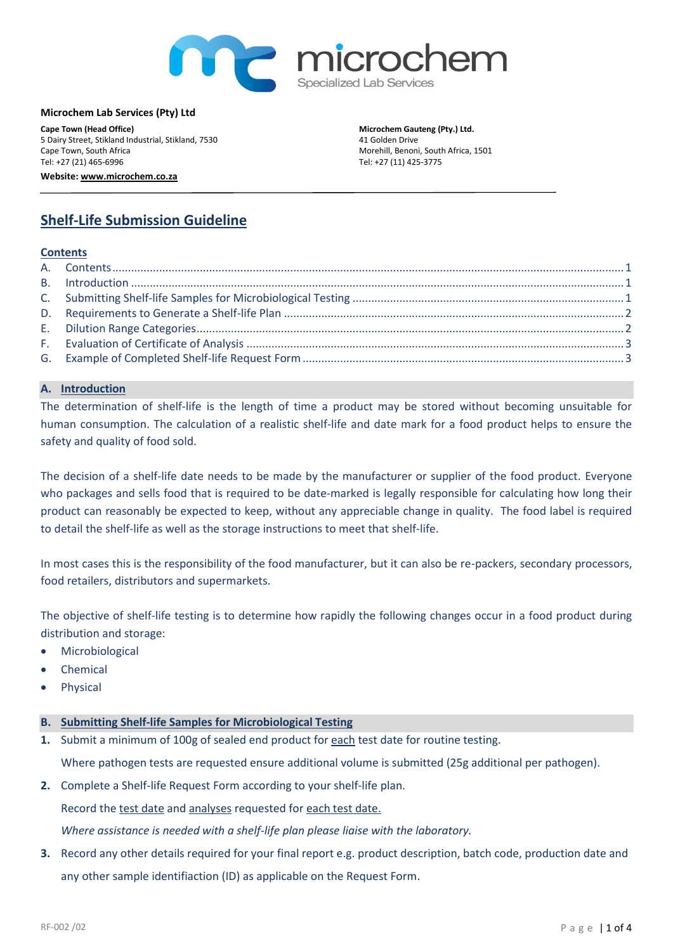

#### **Microchem Lab Services (Pty) Ltd**

**Cape Town (Head Office)** 5 Dairy Street, Stikland Industrial, Stikland, 7530 Cape Town, South Africa Tel: +27 (21) 465-6996 **Website[: www.microchem.co.za](http://www.labservices.co.za/)**

**Microchem Gauteng (Pty.) Ltd.**  41 Golden Drive Morehill, Benoni, South Africa, 1501 Tel: +27 (11) 425-3775

# **Shelf-Life Submission Guideline**

## <span id="page-0-0"></span>**Contents**

## <span id="page-0-1"></span>**A. Introduction**

The determination of shelf-life is the length of time a product may be stored without becoming unsuitable for human consumption. The calculation of a realistic shelf-life and date mark for a food product helps to ensure the safety and quality of food sold.

The decision of a shelf-life date needs to be made by the manufacturer or supplier of the food product. Everyone who packages and sells food that is required to be date-marked is legally responsible for calculating how long their product can reasonably be expected to keep, without any appreciable change in quality. The food label is required to detail the shelf-life as well as the storage instructions to meet that shelf-life.

In most cases this is the responsibility of the food manufacturer, but it can also be re-packers, secondary processors, food retailers, distributors and supermarkets.

The objective of shelf-life testing is to determine how rapidly the following changes occur in a food product during distribution and storage:

- **Microbiological**
- **Chemical**
- **Physical**

# <span id="page-0-2"></span>**B. Submitting Shelf-life Samples for Microbiological Testing**

**1.** Submit a minimum of 100g of sealed end product for each test date for routine testing.

Where pathogen tests are requested ensure additional volume is submitted (25g additional per pathogen).

**2.** Complete a Shelf-life Request Form according to your shelf-life plan.

Record the test date and analyses requested for each test date.

*Where assistance is needed with a shelf-life plan please liaise with the laboratory.* 

**3.** Record any other details required for your final report e.g. product description, batch code, production date and any other sample identifiaction (ID) as applicable on the Request Form.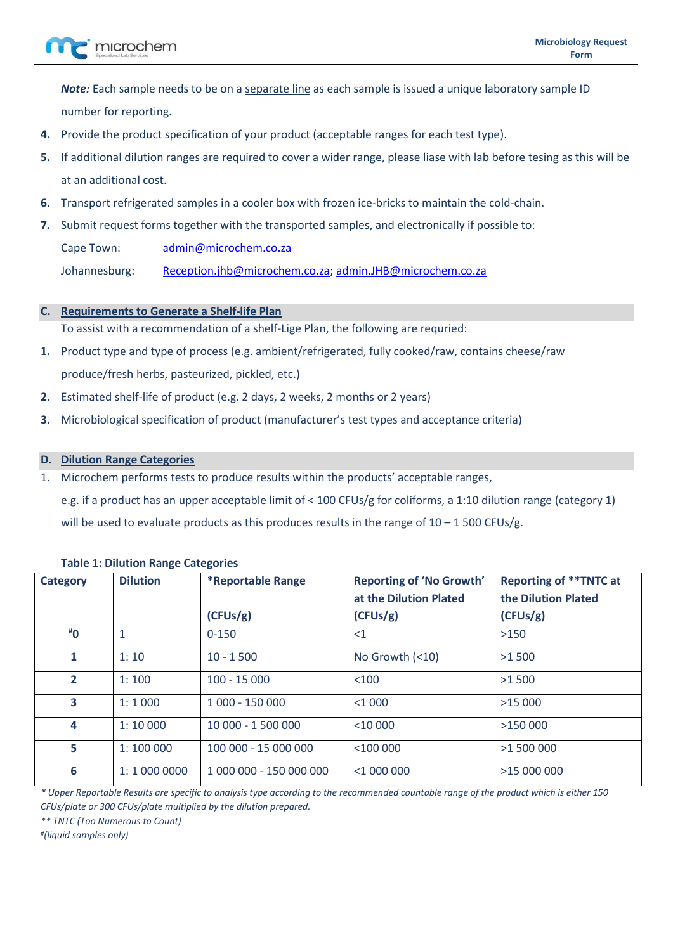*Note:* Each sample needs to be on a separate line as each sample is issued a unique laboratory sample ID number for reporting.

- **4.** Provide the product specification of your product (acceptable ranges for each test type).
- **5.** If additional dilution ranges are required to cover a wider range, please liase with lab before tesing as this will be at an additional cost.
- **6.** Transport refrigerated samples in a cooler box with frozen ice-bricks to maintain the cold-chain.
- **7.** Submit request forms together with the transported samples, and electronically if possible to: Cape Town: [admin@microchem.co.za](mailto:admin@microchem.co.za) Johannesburg: [Reception.jhb@microchem.co.za;](mailto:Reception.jhb@microchem.co.za) [admin.JHB@microchem.co.za](mailto:admin.JHB@microchem.co.za)

# <span id="page-1-0"></span>**C. Requirements to Generate a Shelf-life Plan**

To assist with a recommendation of a shelf-Lige Plan, the following are requried:

- **1.** Product type and type of process (e.g. ambient/refrigerated, fully cooked/raw, contains cheese/raw produce/fresh herbs, pasteurized, pickled, etc.)
- **2.** Estimated shelf-life of product (e.g. 2 days, 2 weeks, 2 months or 2 years)
- **3.** Microbiological specification of product (manufacturer's test types and acceptance criteria)

## <span id="page-1-1"></span>**D. Dilution Range Categories**

- 1. Microchem performs tests to produce results within the products' acceptable ranges,
	- e.g. if a product has an upper acceptable limit of < 100 CFUs/g for coliforms, a 1:10 dilution range (category 1)

will be used to evaluate products as this produces results in the range of  $10 - 1500$  CFUs/g.

| <b>Category</b>               | <b>Dilution</b> | <b>*Reportable Range</b> | <b>Reporting of 'No Growth'</b> | <b>Reporting of ** TNTC at</b> |  |  |  |  |
|-------------------------------|-----------------|--------------------------|---------------------------------|--------------------------------|--|--|--|--|
|                               |                 |                          | at the Dilution Plated          | the Dilution Plated            |  |  |  |  |
|                               |                 | (CFUs/g)                 | (CFUs/g)                        | (CFUs/g)                       |  |  |  |  |
| $\overline{1}$ <sup>#</sup> 0 |                 | $0 - 150$                | $\leq$ 1                        | >150                           |  |  |  |  |
| 1                             | 1:10            | $10 - 1500$              | No Growth $(10)$                | >1500                          |  |  |  |  |
| $\overline{2}$                | 1:100           | $100 - 15000$            | < 100                           | >1500                          |  |  |  |  |
| 3                             | 1:1000          | 1 000 - 150 000          | $<$ 1 000                       | >15000                         |  |  |  |  |
| 4                             | 1:10000         | 10 000 - 1 500 000       | $<$ 10 000                      | >150000                        |  |  |  |  |
| 5                             | 1:100000        | 100 000 - 15 000 000     | $<$ 100 000                     | >1 500 000                     |  |  |  |  |
| 6                             | 1:1 000 0000    | 1 000 000 - 150 000 000  | $<$ 1 000 000                   | >15 000 000                    |  |  |  |  |

#### **Table 1: Dilution Range Categories**

*\* Upper Reportable Results are specific to analysis type according to the recommended countable range of the product which is either 150 CFUs/plate or 300 CFUs/plate multiplied by the dilution prepared.*

*\*\* TNTC (Too Numerous to Count)* 

*# (liquid samples only)*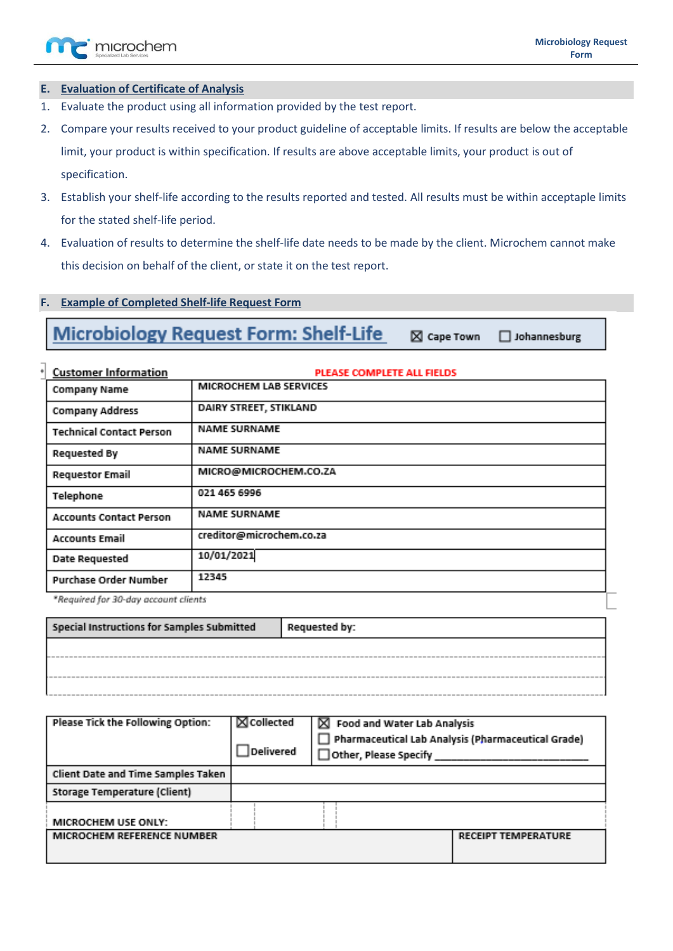

# <span id="page-2-0"></span>**E. Evaluation of Certificate of Analysis**

- 1. Evaluate the product using all information provided by the test report.
- 2. Compare your results received to your product guideline of acceptable limits. If results are below the acceptable limit, your product is within specification. If results are above acceptable limits, your product is out of specification.
- 3. Establish your shelf-life according to the results reported and tested. All results must be within acceptaple limits for the stated shelf-life period.
- 4. Evaluation of results to determine the shelf-life date needs to be made by the client. Microchem cannot make this decision on behalf of the client, or state it on the test report.

# <span id="page-2-1"></span>**F. Example of Completed Shelf-life Request Form**

**Microbiology Request Form: Shelf-Life**  $\boxtimes$  Cape Town  $\Box$  Johannesburg

| <b>Customer Information</b>                            | PLEASE COMPLETE ALL FIELDS |  |  |  |  |
|--------------------------------------------------------|----------------------------|--|--|--|--|
| Company Name                                           | MICROCHEM LAB SERVICES     |  |  |  |  |
| <b>Company Address</b>                                 | DAIRY STREET, STIKLAND     |  |  |  |  |
| <b>NAME SURNAME</b><br><b>Technical Contact Person</b> |                            |  |  |  |  |
| <b>NAME SURNAME</b><br><b>Requested By</b>             |                            |  |  |  |  |
| <b>Requestor Email</b>                                 | MICRO@MICROCHEM.CO.ZA      |  |  |  |  |
| Telephone                                              | 021 465 6996               |  |  |  |  |
| <b>Accounts Contact Person</b>                         | <b>NAME SURNAME</b>        |  |  |  |  |
| <b>Accounts Email</b>                                  | creditor@microchem.co.za   |  |  |  |  |
| <b>Date Requested</b>                                  | 10/01/2021                 |  |  |  |  |
| Purchase Order Number                                  | 12345                      |  |  |  |  |
|                                                        |                            |  |  |  |  |

\*Required for 30-day account clients

| Special Instructions for Samples Submitted | Requested by: |
|--------------------------------------------|---------------|
|                                            |               |
|                                            |               |

| $\boxtimes$ Collected<br>$\boxtimes$ Food and Water Lab Analysis<br>Pharmaceutical Lab Analysis (Pharmaceutical Grade)<br>Delivered<br>$\exists$ Other, Please Specify |  |                            |  |  |  |
|------------------------------------------------------------------------------------------------------------------------------------------------------------------------|--|----------------------------|--|--|--|
|                                                                                                                                                                        |  |                            |  |  |  |
|                                                                                                                                                                        |  |                            |  |  |  |
|                                                                                                                                                                        |  |                            |  |  |  |
|                                                                                                                                                                        |  | <b>RECEIPT TEMPERATURE</b> |  |  |  |
|                                                                                                                                                                        |  |                            |  |  |  |